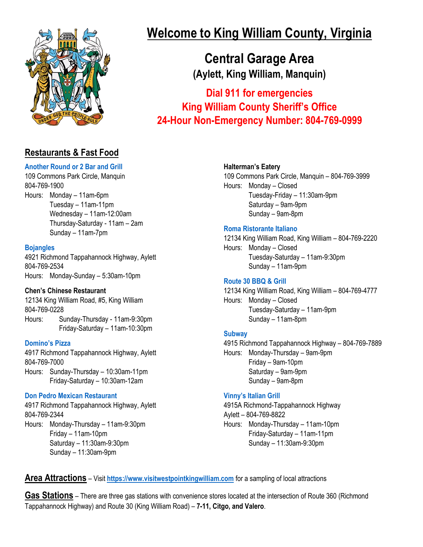

## **Restaurants & Fast Food**

## **[Another Round or 2 Bar and Grill](https://www.facebook.com/AnotherRoundor2/)**

109 Commons Park Circle, Manquin 804-769-1900 Hours: Monday – 11am-6pm Tuesday – 11am-11pm Wednesday – 11am-12:00am Thursday-Saturday - 11am – 2am Sunday – 11am-7pm

#### **[Bojangles](https://locations.bojangles.com/va/aylett/4921-richmond-tappahannock-hwy.html)**

4921 Richmond Tappahannock Highway, Aylett 804-769-2534 Hours: Monday-Sunday – 5:30am-10pm

### **Chen's Chinese Restaurant**

12134 King William Road, #5, King William 804-769-0228 Hours: Sunday-Thursday - 11am-9:30pm Friday-Saturday – 11am-10:30pm

#### **[Domino's Pizza](https://www.dominos.com/en/)**

4917 Richmond Tappahannock Highway, Aylett 804-769-7000 Hours: Sunday-Thursday – 10:30am-11pm Friday-Saturday – 10:30am-12am

### **[Don Pedro Mexican Restaurant](https://www.donpedro2.com/)**

4917 Richmond Tappahannock Highway, Aylett 804-769-2344 Hours: Monday-Thursday – 11am-9:30pm Friday – 11am-10pm Saturday – 11:30am-9:30pm Sunday – 11:30am-9pm

# **Welcome to King William County, Virginia**

**Central Garage Area (Aylett, King William, Manquin)**

**Dial 911 for emergencies King William County Sheriff's Office 24-Hour Non-Emergency Number: 804-769-0999**

## **Halterman's Eatery**

109 Commons Park Circle, Manquin – 804-769-3999 Hours: Monday – Closed Tuesday-Friday – 11:30am-9pm Saturday – 9am-9pm Sunday – 9am-8pm

## **[Roma Ristorante Italiano](https://romaofkingwilliam.com/)**

12134 King William Road, King William – 804-769-2220 Hours: Monday – Closed Tuesday-Saturday – 11am-9:30pm Sunday – 11am-9pm

## **[Route 30 BBQ & Grill](https://www.route30bbqandgrill.com/)**

12134 King William Road, King William – 804-769-4777 Hours: Monday – Closed Tuesday-Saturday – 11am-9pm Sunday – 11am-8pm

## **[Subway](https://order.subway.com/en-US)**

4915 Richmond Tappahannock Highway – 804-769-7889 Hours: Monday-Thursday – 9am-9pm Friday – 9am-10pm Saturday – 9am-9pm Sunday – 9am-8pm

## **[Vinny's Italian Grill](https://www.vinnyskingwilliam.com/)**

4915A Richmond-Tappahannock Highway Aylett – 804-769-8822 Hours: Monday-Thursday – 11am-10pm Friday-Saturday – 11am-11pm

Sunday – 11:30am-9:30pm

**Area Attractions** – Visit **[https://www.visitwestpointkingwilliam.com](https://www.visitwestpointkingwilliam.com/)** for a sampling of local attractions

**Gas Stations** – There are three gas stations with convenience stores located at the intersection of Route 360 (Richmond Tappahannock Highway) and Route 30 (King William Road) – **7-11, Citgo, and Valero**.